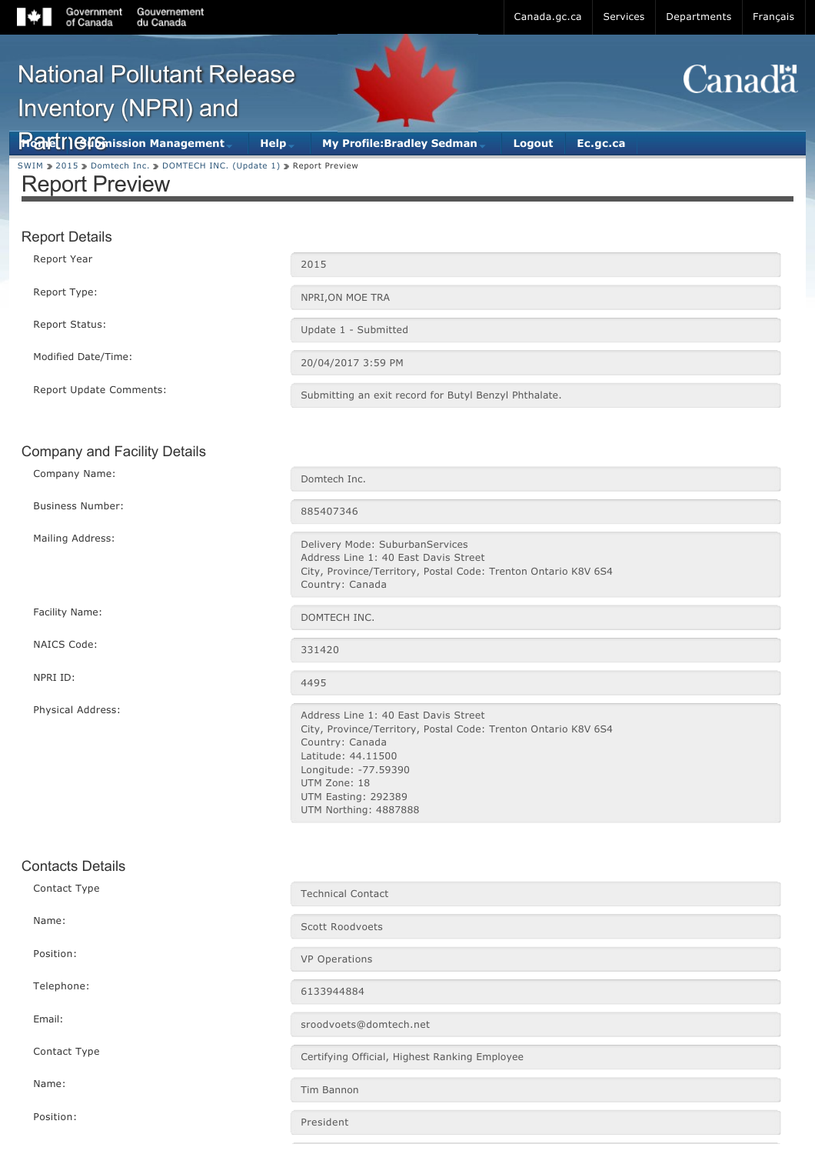| Gouvernement<br>Government<br>of Canada<br>du Canada                                           |                                                                                                                                                                                                                                         | Canada.gc.ca<br>Services  | Departments<br>Français |
|------------------------------------------------------------------------------------------------|-----------------------------------------------------------------------------------------------------------------------------------------------------------------------------------------------------------------------------------------|---------------------------|-------------------------|
| <b>National Pollutant Release</b><br>Inventory (NPRI) and                                      |                                                                                                                                                                                                                                         |                           | <b>Canadä</b>           |
| <b>Rafet   GIGnission Management</b>                                                           | <b>My Profile:Bradley Sedman</b><br>Help-                                                                                                                                                                                               | <b>Logout</b><br>Ec.gc.ca |                         |
| SWIM > 2015 > Domtech Inc. > DOMTECH INC. (Update 1) > Report Preview<br><b>Report Preview</b> |                                                                                                                                                                                                                                         |                           |                         |
| <b>Report Details</b>                                                                          |                                                                                                                                                                                                                                         |                           |                         |
| Report Year                                                                                    | 2015                                                                                                                                                                                                                                    |                           |                         |
| Report Type:                                                                                   | NPRI, ON MOE TRA                                                                                                                                                                                                                        |                           |                         |
| Report Status:                                                                                 | Update 1 - Submitted                                                                                                                                                                                                                    |                           |                         |
| Modified Date/Time:                                                                            | 20/04/2017 3:59 PM                                                                                                                                                                                                                      |                           |                         |
| Report Update Comments:                                                                        | Submitting an exit record for Butyl Benzyl Phthalate.                                                                                                                                                                                   |                           |                         |
|                                                                                                |                                                                                                                                                                                                                                         |                           |                         |
| <b>Company and Facility Details</b>                                                            |                                                                                                                                                                                                                                         |                           |                         |
| Company Name:                                                                                  | Domtech Inc.                                                                                                                                                                                                                            |                           |                         |
| <b>Business Number:</b>                                                                        | 885407346                                                                                                                                                                                                                               |                           |                         |
| Mailing Address:                                                                               | Delivery Mode: SuburbanServices<br>Address Line 1: 40 East Davis Street<br>City, Province/Territory, Postal Code: Trenton Ontario K8V 6S4<br>Country: Canada                                                                            |                           |                         |
| Facility Name:                                                                                 | DOMTECH INC.                                                                                                                                                                                                                            |                           |                         |
| NAICS Code:                                                                                    | 331420                                                                                                                                                                                                                                  |                           |                         |
| NPRI ID:                                                                                       | 4495                                                                                                                                                                                                                                    |                           |                         |
| Physical Address:                                                                              | Address Line 1: 40 East Davis Street<br>City, Province/Territory, Postal Code: Trenton Ontario K8V 6S4<br>Country: Canada<br>Latitude: 44.11500<br>Longitude: -77.59390<br>UTM Zone: 18<br>UTM Easting: 292389<br>UTM Northing: 4887888 |                           |                         |
| <b>Contacts Details</b>                                                                        |                                                                                                                                                                                                                                         |                           |                         |
| Contact Type                                                                                   | <b>Technical Contact</b>                                                                                                                                                                                                                |                           |                         |
| Name:                                                                                          | Scott Roodvoets                                                                                                                                                                                                                         |                           |                         |
| Position:                                                                                      | VP Operations                                                                                                                                                                                                                           |                           |                         |
| Telephone:                                                                                     | 6133944884                                                                                                                                                                                                                              |                           |                         |
| Email:                                                                                         | sroodvoets@domtech.net                                                                                                                                                                                                                  |                           |                         |
| Contact Type                                                                                   | Certifying Official, Highest Ranking Employee                                                                                                                                                                                           |                           |                         |

Name: Tim Bannon

Position: President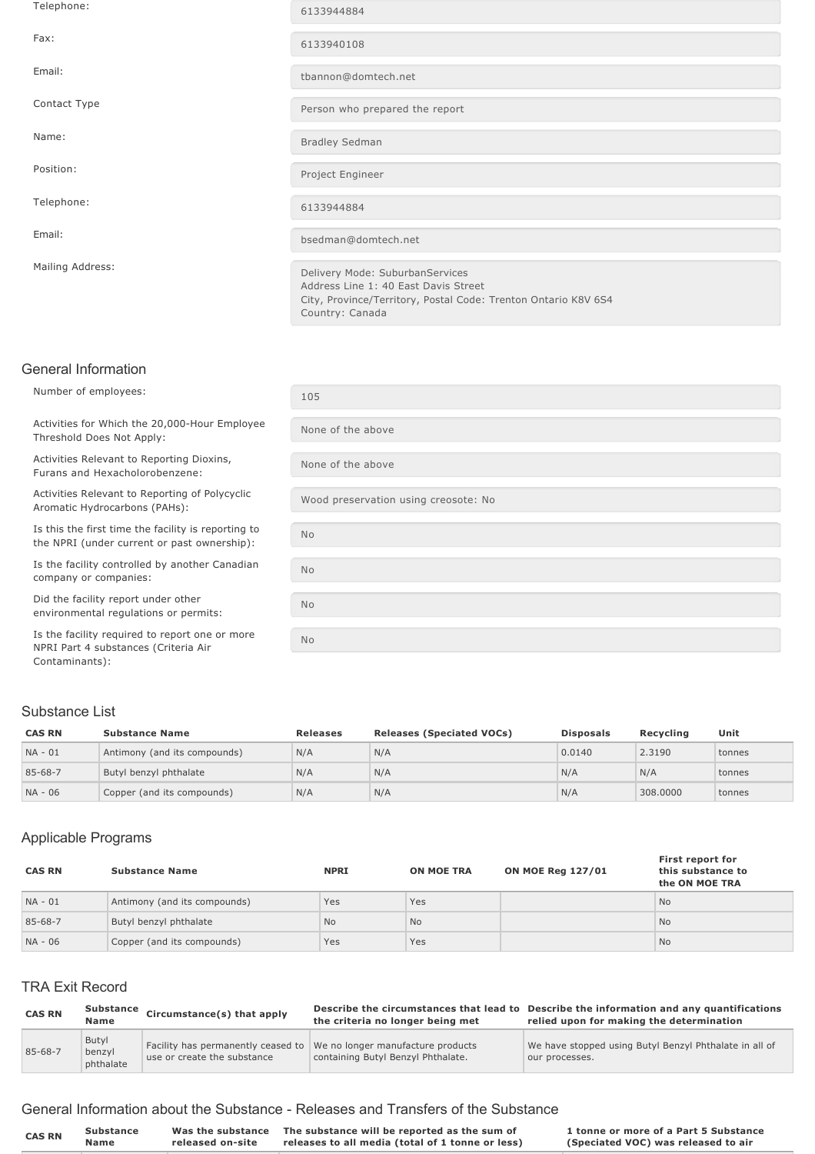| Telephone:       | 6133944884                                                                                                                                                   |
|------------------|--------------------------------------------------------------------------------------------------------------------------------------------------------------|
| Fax:             | 6133940108                                                                                                                                                   |
| Email:           | tbannon@domtech.net                                                                                                                                          |
| Contact Type     | Person who prepared the report                                                                                                                               |
| Name:            | <b>Bradley Sedman</b>                                                                                                                                        |
| Position:        | Project Engineer                                                                                                                                             |
| Telephone:       | 6133944884                                                                                                                                                   |
| Email:           | bsedman@domtech.net                                                                                                                                          |
| Mailing Address: | Delivery Mode: SuburbanServices<br>Address Line 1: 40 East Davis Street<br>City, Province/Territory, Postal Code: Trenton Ontario K8V 6S4<br>Country: Canada |

#### General Information

Number of employees: 105

Activities for Which the 20,000-Hour Employee Threshold Does Not Apply:

Activities Relevant to Reporting Dioxins, Furans and Hexacholorobenzene:

Activities Relevant to Reporting of Polycyclic

Is this the first time the facility is reporting to the NPRI (under current or past ownership):

Is the facility controlled by another Canadian company or companies:

Did the facility report under other environmental regulations or permits:

Is the facility required to report one or more NPRI Part 4 substances (Criteria Air Contaminants):

# None of the above None of the above ACTIVITIES REIEVANT TO REPORTING OF POLYCYCIIC<br>Aromatic Hydrocarbons (PAHs): No No No No

#### Substance List

| <b>CAS RN</b> | <b>Substance Name</b>        | <b>Releases</b> | <b>Releases (Speciated VOCs)</b> | <b>Disposals</b> | Recvcling | Unit   |
|---------------|------------------------------|-----------------|----------------------------------|------------------|-----------|--------|
| NA - 01       | Antimony (and its compounds) | N/A             | N/A                              | 0.0140           | 2.3190    | tonnes |
| $85 - 68 - 7$ | Butyl benzyl phthalate       | N/A             | N/A                              | N/A              | N/A       | tonnes |
| NA - 06       | Copper (and its compounds)   | N/A             | N/A                              | N/A              | 308,0000  | tonnes |

#### Applicable Programs

| <b>CAS RN</b> | <b>Substance Name</b>        | <b>NPRI</b> | <b>ON MOE TRA</b> | <b>ON MOE Reg 127/01</b> | First report for<br>this substance to<br>the ON MOE TRA |
|---------------|------------------------------|-------------|-------------------|--------------------------|---------------------------------------------------------|
| $NA - 01$     | Antimony (and its compounds) | Yes         | Yes               |                          | <b>No</b>                                               |
| 85-68-7       | Butyl benzyl phthalate       | <b>No</b>   | <b>No</b>         |                          | <b>No</b>                                               |
| NA - 06       | Copper (and its compounds)   | Yes         | Yes               |                          | <b>No</b>                                               |

## TRA Exit Record

| <b>CAS RN</b> | <b>Substance</b><br><b>Name</b> | Circumstance(s) that apply  | the criteria no longer being met                                                                           | Describe the circumstances that lead to Describe the information and any quantifications<br>relied upon for making the determination |
|---------------|---------------------------------|-----------------------------|------------------------------------------------------------------------------------------------------------|--------------------------------------------------------------------------------------------------------------------------------------|
| $85 - 68 - 7$ | Butyl<br>benzyl<br>phthalate    | use or create the substance | Facility has permanently ceased to We no longer manufacture products<br>containing Butyl Benzyl Phthalate. | We have stopped using Butyl Benzyl Phthalate in all of<br>our processes.                                                             |

#### General Information about the Substance Releases and Transfers of the Substance

| Was the substance The substance will be reported as the sum of<br>1 tonne or more of a Part 5 Substance<br><b>Substance</b><br><b>CAS RN</b><br>Name<br>releases to all media (total of 1 tonne or less)<br>(Speciated VOC) was released to air<br>released on-site |  |
|---------------------------------------------------------------------------------------------------------------------------------------------------------------------------------------------------------------------------------------------------------------------|--|
|---------------------------------------------------------------------------------------------------------------------------------------------------------------------------------------------------------------------------------------------------------------------|--|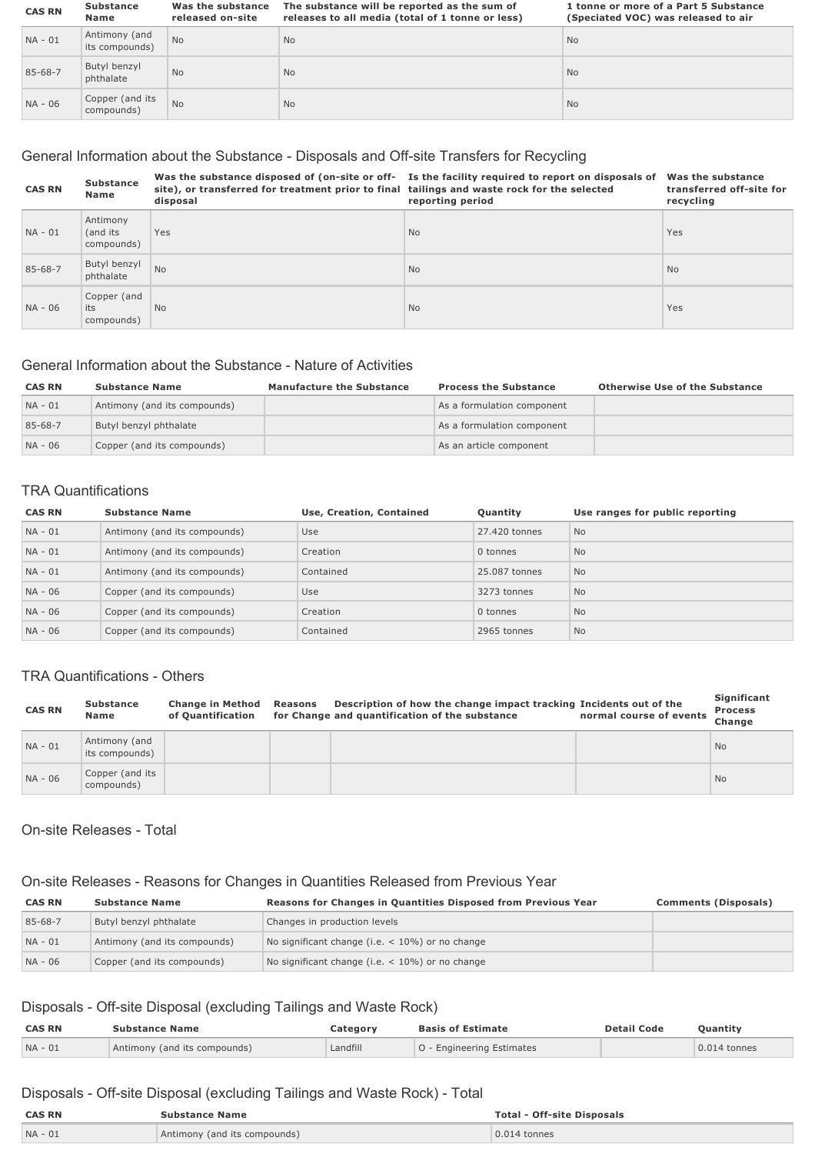| <b>CAS RN</b> | <b>Substance</b><br>Name        | Was the substance<br>released on-site | The substance will be reported as the sum of<br>releases to all media (total of 1 tonne or less) | 1 tonne or more of a Part 5 Substance<br>(Speciated VOC) was released to air |
|---------------|---------------------------------|---------------------------------------|--------------------------------------------------------------------------------------------------|------------------------------------------------------------------------------|
| $NA - 01$     | Antimony (and<br>its compounds) | <b>No</b>                             | <b>No</b>                                                                                        | <b>No</b>                                                                    |
| 85-68-7       | Butyl benzyl<br>phthalate       | <b>No</b>                             | <b>No</b>                                                                                        | <b>No</b>                                                                    |
| NA - 06       | Copper (and its<br>compounds)   | <b>No</b>                             | <b>No</b>                                                                                        | <b>No</b>                                                                    |

## General Information about the Substance - Disposals and Off-site Transfers for Recycling

| <b>CAS RN</b> | <b>Substance</b><br><b>Name</b>     | site), or transferred for treatment prior to final tailings and waste rock for the selected<br>disposal | Was the substance disposed of (on-site or off- Is the facility required to report on disposals of<br>reporting period | Was the substance<br>transferred off-site for<br>recycling |
|---------------|-------------------------------------|---------------------------------------------------------------------------------------------------------|-----------------------------------------------------------------------------------------------------------------------|------------------------------------------------------------|
| $NA - 01$     | Antimony<br>(and its)<br>compounds) | Yes                                                                                                     | <b>No</b>                                                                                                             | Yes                                                        |
| 85-68-7       | Butyl benzyl<br>phthalate           | <b>No</b>                                                                                               | <b>No</b>                                                                                                             | <b>No</b>                                                  |
| NA - 06       | Copper (and<br>its<br>compounds)    | <b>No</b>                                                                                               | <b>No</b>                                                                                                             | Yes                                                        |

#### General Information about the Substance - Nature of Activities

| <b>CAS RN</b> | <b>Substance Name</b>        | <b>Manufacture the Substance</b> | <b>Process the Substance</b> | <b>Otherwise Use of the Substance</b> |
|---------------|------------------------------|----------------------------------|------------------------------|---------------------------------------|
| $NA - 01$     | Antimony (and its compounds) |                                  | As a formulation component   |                                       |
| 85-68-7       | Butyl benzyl phthalate       |                                  | As a formulation component   |                                       |
| NA - 06       | Copper (and its compounds)   |                                  | As an article component      |                                       |

#### TRA Quantifications

| <b>CAS RN</b> | <b>Substance Name</b>        | Use, Creation, Contained | Quantity      | Use ranges for public reporting |
|---------------|------------------------------|--------------------------|---------------|---------------------------------|
| $NA - 01$     | Antimony (and its compounds) | Use                      | 27,420 tonnes | <b>No</b>                       |
| $NA - 01$     | Antimony (and its compounds) | Creation                 | 0 tonnes      | <b>No</b>                       |
| $NA - 01$     | Antimony (and its compounds) | Contained                | 25,087 tonnes | <b>No</b>                       |
| NA - 06       | Copper (and its compounds)   | Use                      | 3273 tonnes   | <b>No</b>                       |
| NA - 06       | Copper (and its compounds)   | Creation                 | 0 tonnes      | <b>No</b>                       |
| NA - 06       | Copper (and its compounds)   | Contained                | 2965 tonnes   | <b>No</b>                       |

#### TRA Quantifications - Others

| <b>CAS RN</b> | <b>Substance</b><br>Name        | <b>Change in Method</b><br>of Ouantification | Reasons | Description of how the change impact tracking Incidents out of the<br>for Change and quantification of the substance | normal course of events | Significant<br><b>Process</b><br>Change |
|---------------|---------------------------------|----------------------------------------------|---------|----------------------------------------------------------------------------------------------------------------------|-------------------------|-----------------------------------------|
| $NA - 01$     | Antimony (and<br>its compounds) |                                              |         |                                                                                                                      |                         | <b>No</b>                               |
| NA - 06       | Copper (and its<br>compounds)   |                                              |         |                                                                                                                      |                         | <b>No</b>                               |

#### On-site Releases - Total

## On-site Releases - Reasons for Changes in Quantities Released from Previous Year

| <b>CAS RN</b> | <b>Substance Name</b>        | Reasons for Changes in Quantities Disposed from Previous Year | <b>Comments (Disposals)</b> |
|---------------|------------------------------|---------------------------------------------------------------|-----------------------------|
| 85-68-7       | Butyl benzyl phthalate       | Changes in production levels                                  |                             |
| $NA - 01$     | Antimony (and its compounds) | No significant change (i.e. $<$ 10%) or no change             |                             |
| NA - 06       | Copper (and its compounds)   | No significant change (i.e. $<$ 10%) or no change             |                             |

## Disposals - Off-site Disposal (excluding Tailings and Waste Rock)

| <b>CAS RN</b> | <b>Substance Name</b>        | Category | <b>Basis of Estimate</b>  | <b>Detail Code</b> | Quantity       |
|---------------|------------------------------|----------|---------------------------|--------------------|----------------|
| $NA - 01$     | Antimony (and its compounds) | Landfill | 0 - Engineering Estimates |                    | $0.014$ tonnes |

## Disposals - Off-site Disposal (excluding Tailings and Waste Rock) - Total

| <b>CAS RN</b> | Substance Name               | <b>Total - Off-site Disposals</b> |
|---------------|------------------------------|-----------------------------------|
| $NA - 0$      | Antimony (and its compounds) | $0.014$ tonnes                    |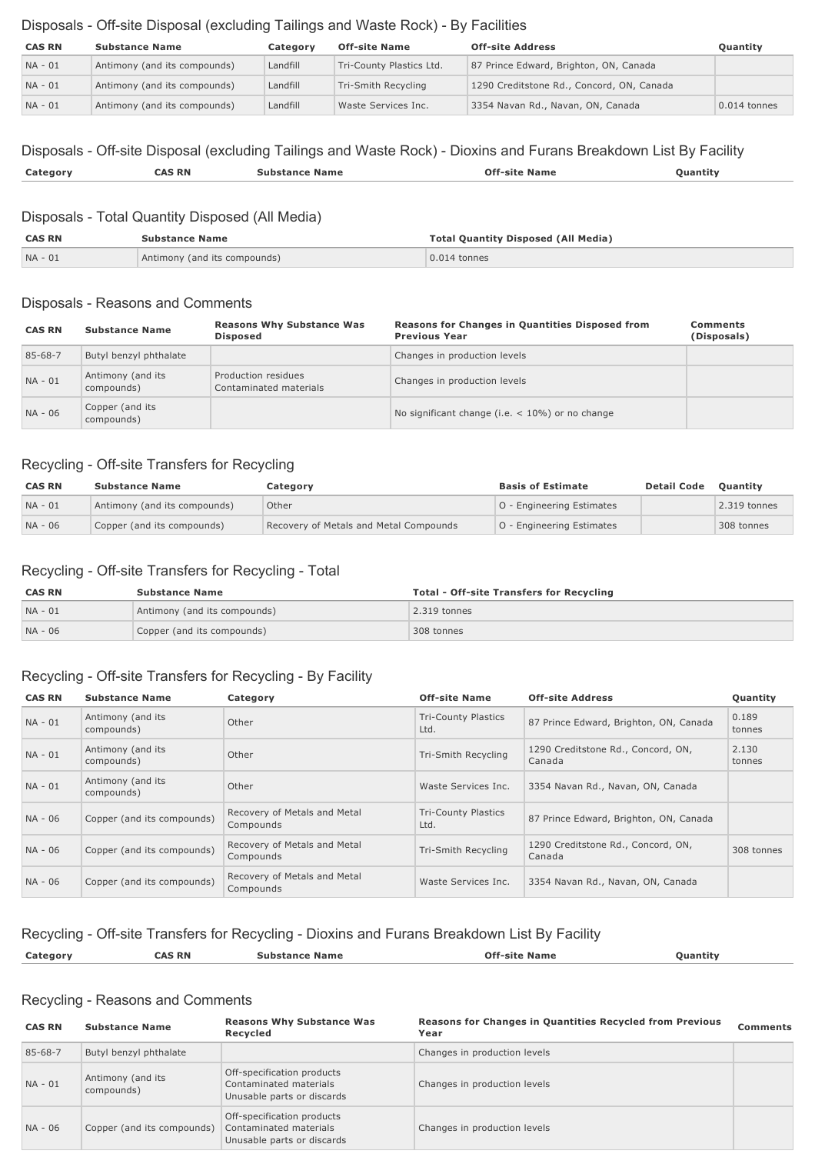## Disposals - Off-site Disposal (excluding Tailings and Waste Rock) - By Facilities

| <b>CAS RN</b> | <b>Substance Name</b>        | Category | <b>Off-site Name</b>     | <b>Off-site Address</b>                   | <b>Ouantity</b> |
|---------------|------------------------------|----------|--------------------------|-------------------------------------------|-----------------|
| NA - 01       | Antimony (and its compounds) | Landfill | Tri-County Plastics Ltd. | 87 Prince Edward, Brighton, ON, Canada    |                 |
| $NA - 01$     | Antimony (and its compounds) | Landfill | Tri-Smith Recycling      | 1290 Creditstone Rd., Concord, ON, Canada |                 |
| $NA - 01$     | Antimony (and its compounds) | Landfill | Waste Services Inc.      | 3354 Navan Rd., Navan, ON, Canada         | $0.014$ tonnes  |

## Disposals - Off-site Disposal (excluding Tailings and Waste Rock) - Dioxins and Furans Breakdown List By Facility **Category CAS RN Substance Name Offsite Name Quantity**

#### Disposals - Total Quantity Disposed (All Media)

| <b>CAS RN</b> | <b>Substance Name</b>        | <b>Total Quantity Disposed (All Media)</b> |
|---------------|------------------------------|--------------------------------------------|
| NA - 01       | Antimony (and its compounds) | 0.014 tonnes                               |

#### Disposals - Reasons and Comments

| <b>CAS RN</b> | <b>Substance Name</b>           | <b>Reasons Why Substance Was</b><br><b>Disposed</b> | <b>Reasons for Changes in Quantities Disposed from</b><br><b>Previous Year</b> | <b>Comments</b><br>(Disposals) |
|---------------|---------------------------------|-----------------------------------------------------|--------------------------------------------------------------------------------|--------------------------------|
| $85 - 68 - 7$ | Butyl benzyl phthalate          |                                                     | Changes in production levels                                                   |                                |
| $NA - 01$     | Antimony (and its<br>compounds) | Production residues<br>Contaminated materials       | Changes in production levels                                                   |                                |
| NA - 06       | Copper (and its<br>compounds)   |                                                     | No significant change (i.e. $<$ 10%) or no change                              |                                |

## Recycling - Off-site Transfers for Recycling

| <b>CAS RN</b> | <b>Substance Name</b>        | Category                               | <b>Basis of Estimate</b>  | <b>Detail Code</b> | <b>Ouantity</b> |
|---------------|------------------------------|----------------------------------------|---------------------------|--------------------|-----------------|
| $NA - 01$     | Antimony (and its compounds) | Other                                  | O - Engineering Estimates |                    | $2.319$ tonnes  |
| $NA - 06$     | Copper (and its compounds)   | Recovery of Metals and Metal Compounds | O - Engineering Estimates |                    | 308 tonnes      |

## Recycling - Off-site Transfers for Recycling - Total

| <b>CAS RN</b> | <b>Substance Name</b>        | <b>Total - Off-site Transfers for Recycling</b> |
|---------------|------------------------------|-------------------------------------------------|
| NA - 01       | Antimony (and its compounds) | 2.319 tonnes                                    |
| NA - 06       | Copper (and its compounds)   | 308 tonnes                                      |

## Recycling - Off-site Transfers for Recycling - By Facility

| <b>CAS RN</b> | <b>Substance Name</b>           | Category                                  | <b>Off-site Name</b>               | <b>Off-site Address</b>                      | Quantity        |
|---------------|---------------------------------|-------------------------------------------|------------------------------------|----------------------------------------------|-----------------|
| $NA - 01$     | Antimony (and its<br>compounds) | Other                                     | <b>Tri-County Plastics</b><br>Ltd. | 87 Prince Edward, Brighton, ON, Canada       | 0.189<br>tonnes |
| NA - 01       | Antimony (and its<br>compounds) | Other                                     | Tri-Smith Recycling                | 1290 Creditstone Rd., Concord, ON,<br>Canada | 2.130<br>tonnes |
| $NA - 01$     | Antimony (and its<br>compounds) | Other                                     | Waste Services Inc.                | 3354 Navan Rd., Navan, ON, Canada            |                 |
| NA - 06       | Copper (and its compounds)      | Recovery of Metals and Metal<br>Compounds | <b>Tri-County Plastics</b><br>Ltd. | 87 Prince Edward, Brighton, ON, Canada       |                 |
| NA - 06       | Copper (and its compounds)      | Recovery of Metals and Metal<br>Compounds | Tri-Smith Recycling                | 1290 Creditstone Rd., Concord, ON,<br>Canada | 308 tonnes      |
| NA - 06       | Copper (and its compounds)      | Recovery of Metals and Metal<br>Compounds | Waste Services Inc.                | 3354 Navan Rd., Navan, ON, Canada            |                 |

# Recycling - Off-site Transfers for Recycling - Dioxins and Furans Breakdown List By Facility

| <b>Cal</b> | -RN<br>י מי | .∍un∽<br>name<br>⊴dΠL. | vame | וחבות |
|------------|-------------|------------------------|------|-------|
|            |             |                        |      |       |

## Recycling - Reasons and Comments

| <b>CAS RN</b> | <b>Substance Name</b>           | <b>Reasons Why Substance Was</b><br>Recycled                                       | Reasons for Changes in Quantities Recycled from Previous<br>Year | <b>Comments</b> |
|---------------|---------------------------------|------------------------------------------------------------------------------------|------------------------------------------------------------------|-----------------|
| $85 - 68 - 7$ | Butyl benzyl phthalate          |                                                                                    | Changes in production levels                                     |                 |
| $NA - 01$     | Antimony (and its<br>compounds) | Off-specification products<br>Contaminated materials<br>Unusable parts or discards | Changes in production levels                                     |                 |
| NA - 06       | Copper (and its compounds)      | Off-specification products<br>Contaminated materials<br>Unusable parts or discards | Changes in production levels                                     |                 |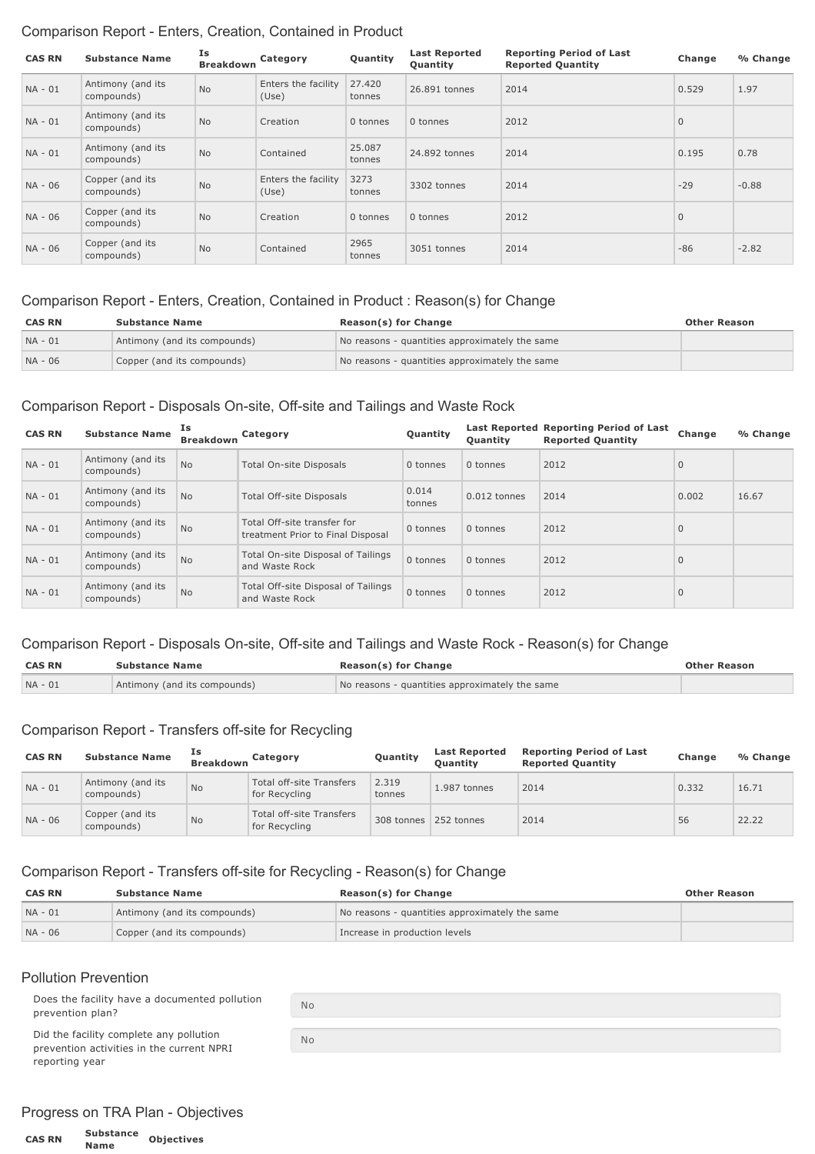## Comparison Report - Enters, Creation, Contained in Product

| <b>CAS RN</b> | <b>Substance Name</b>           | Is<br><b>Breakdown</b> | Category                     | Quantity         | <b>Last Reported</b><br>Quantity | <b>Reporting Period of Last</b><br><b>Reported Quantity</b> | Change       | % Change |
|---------------|---------------------------------|------------------------|------------------------------|------------------|----------------------------------|-------------------------------------------------------------|--------------|----------|
| $NA - 01$     | Antimony (and its<br>compounds) | <b>No</b>              | Enters the facility<br>(Use) | 27.420<br>tonnes | 26.891 tonnes                    | 2014                                                        | 0.529        | 1.97     |
| $NA - 01$     | Antimony (and its<br>compounds) | <b>No</b>              | Creation                     | 0 tonnes         | 0 tonnes                         | 2012                                                        | $\mathbf{0}$ |          |
| $NA - 01$     | Antimony (and its<br>compounds) | <b>No</b>              | Contained                    | 25.087<br>tonnes | 24,892 tonnes                    | 2014                                                        | 0.195        | 0.78     |
| NA - 06       | Copper (and its<br>compounds)   | <b>No</b>              | Enters the facility<br>(Use) | 3273<br>tonnes   | 3302 tonnes                      | 2014                                                        | $-29$        | $-0.88$  |
| NA - 06       | Copper (and its<br>compounds)   | <b>No</b>              | Creation                     | 0 tonnes         | 0 tonnes                         | 2012                                                        | $\mathbf{0}$ |          |
| NA - 06       | Copper (and its<br>compounds)   | No                     | Contained                    | 2965<br>tonnes   | 3051 tonnes                      | 2014                                                        | $-86$        | $-2.82$  |

#### Comparison Report Enters, Creation, Contained in Product : Reason(s) for Change

| <b>CAS RN</b> | <b>Substance Name</b>        | Reason(s) for Change                           | <b>Other Reason</b> |
|---------------|------------------------------|------------------------------------------------|---------------------|
| $NA - 01$     | Antimony (and its compounds) | No reasons - quantities approximately the same |                     |
| $NA - 06$     | Copper (and its compounds)   | No reasons - quantities approximately the same |                     |

#### Comparison Report - Disposals On-site, Off-site and Tailings and Waste Rock

| <b>CAS RN</b> | <b>Substance Name</b>           | Ιs<br><b>Breakdown</b> | Category                                                         | Quantity        | <b>Ouantity</b> | Last Reported Reporting Period of Last<br><b>Reported Quantity</b> | Change       | % Change |
|---------------|---------------------------------|------------------------|------------------------------------------------------------------|-----------------|-----------------|--------------------------------------------------------------------|--------------|----------|
| $NA - 01$     | Antimony (and its<br>compounds) | <b>No</b>              | Total On-site Disposals                                          | 0 tonnes        | 0 tonnes        | 2012                                                               | $\mathbf{0}$ |          |
| $NA - 01$     | Antimony (and its<br>compounds) | <b>No</b>              | Total Off-site Disposals                                         | 0.014<br>tonnes | 0.012 tonnes    | 2014                                                               | 0.002        | 16.67    |
| $NA - 01$     | Antimony (and its<br>compounds) | <b>No</b>              | Total Off-site transfer for<br>treatment Prior to Final Disposal | 0 tonnes        | 0 tonnes        | 2012                                                               | $\Omega$     |          |
| $NA - 01$     | Antimony (and its<br>compounds) | <b>No</b>              | Total On-site Disposal of Tailings<br>and Waste Rock             | 0 tonnes        | 0 tonnes        | 2012                                                               | $\mathbf{0}$ |          |
| $NA - 01$     | Antimony (and its<br>compounds) | <b>No</b>              | Total Off-site Disposal of Tailings<br>and Waste Rock            | 0 tonnes        | 0 tonnes        | 2012                                                               | $\mathbf{0}$ |          |

#### Comparison Report - Disposals On-site, Off-site and Tailings and Waste Rock - Reason(s) for Change

| <b>CAS RN</b> | <b>Substance Name</b>        | <b>Reason(s) for Change</b>                    | <b>Other Reason</b> |
|---------------|------------------------------|------------------------------------------------|---------------------|
| $NA - 01$     | Antimony (and its compounds) | No reasons - quantities approximately the same |                     |

#### Comparison Report - Transfers off-site for Recycling

| <b>CAS RN</b> | <b>Substance Name</b>           | Ιs<br><b>Breakdown</b> | Category                                         | Quantity        | <b>Last Reported</b><br><b>Ouantity</b> | <b>Reporting Period of Last</b><br><b>Reported Quantity</b> | Change | % Change |
|---------------|---------------------------------|------------------------|--------------------------------------------------|-----------------|-----------------------------------------|-------------------------------------------------------------|--------|----------|
| $NA - 01$     | Antimony (and its<br>compounds) | <b>No</b>              | <b>Total off-site Transfers</b><br>for Recycling | 2.319<br>tonnes | 1.987 tonnes                            | 2014                                                        | 0.332  | 16.71    |
| NA - 06       | Copper (and its<br>compounds)   | <b>No</b>              | <b>Total off-site Transfers</b><br>for Recycling | 308 tonnes      | 252 tonnes                              | 2014                                                        | 56     | 22.22    |

## Comparison Report - Transfers off-site for Recycling - Reason(s) for Change

| <b>CAS RN</b> | <b>Substance Name</b>        | <b>Reason(s) for Change</b>                    | <b>Other Reason</b> |
|---------------|------------------------------|------------------------------------------------|---------------------|
| $NA - 01$     | Antimony (and its compounds) | No reasons - quantities approximately the same |                     |
| NA - 06       | Copper (and its compounds)   | Increase in production levels                  |                     |

#### Pollution Prevention

Does the facility have a documented pollution prevention plan?

Did the facility complete any pollution prevention activities in the current NPRI reporting year

| No |  |  |
|----|--|--|
|    |  |  |
| No |  |  |

## Progress on TRA Plan - Objectives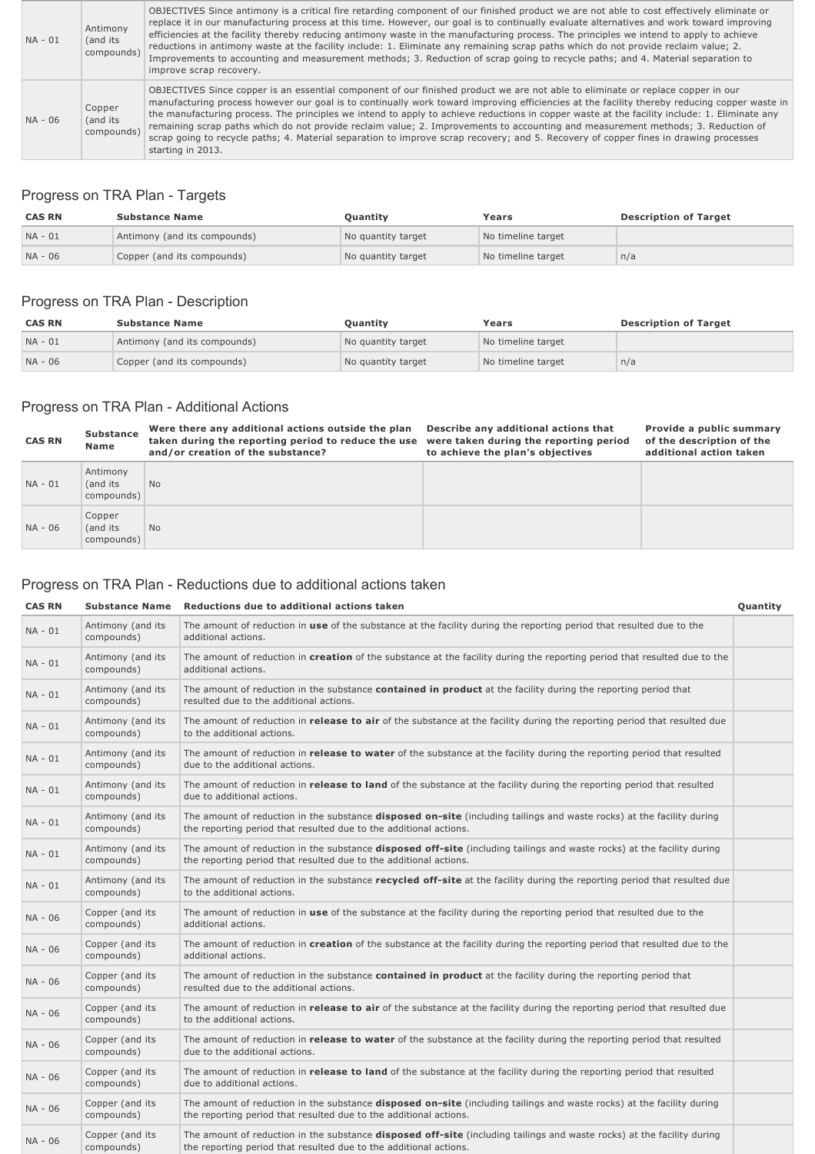| NA - 01 | Antimony<br>(and its<br>compounds) | OBJECTIVES Since antimony is a critical fire retarding component of our finished product we are not able to cost effectively eliminate or<br>replace it in our manufacturing process at this time. However, our goal is to continually evaluate alternatives and work toward improving<br>efficiencies at the facility thereby reducing antimony waste in the manufacturing process. The principles we intend to apply to achieve<br>reductions in antimony waste at the facility include: 1. Eliminate any remaining scrap paths which do not provide reclaim value; 2.<br>Improvements to accounting and measurement methods; 3. Reduction of scrap going to recycle paths; and 4. Material separation to<br>improve scrap recovery. |
|---------|------------------------------------|----------------------------------------------------------------------------------------------------------------------------------------------------------------------------------------------------------------------------------------------------------------------------------------------------------------------------------------------------------------------------------------------------------------------------------------------------------------------------------------------------------------------------------------------------------------------------------------------------------------------------------------------------------------------------------------------------------------------------------------|
| NA - 06 | Copper<br>(and its<br>compounds)   | OBJECTIVES Since copper is an essential component of our finished product we are not able to eliminate or replace copper in our<br>manufacturing process however our goal is to continually work toward improving efficiencies at the facility thereby reducing copper waste in<br>the manufacturing process. The principles we intend to apply to achieve reductions in copper waste at the facility include: 1. Eliminate any<br>remaining scrap paths which do not provide reclaim value; 2. Improvements to accounting and measurement methods; 3. Reduction of<br>scrap going to recycle paths; 4. Material separation to improve scrap recovery; and 5. Recovery of copper fines in drawing processes<br>starting in 2013.       |

# Progress on TRA Plan - Targets

| <b>CAS RN</b> | <b>Substance Name</b>        | Ouantitv           | Years              | <b>Description of Target</b> |
|---------------|------------------------------|--------------------|--------------------|------------------------------|
| $NA - 01$     | Antimony (and its compounds) | No quantity target | No timeline target |                              |
| NA - 06       | Copper (and its compounds)   | No quantity target | No timeline target | n/a                          |

# Progress on TRA Plan - Description

| <b>CAS RN</b> | <b>Substance Name</b>        | <b>Ouantity</b>    | Years              | <b>Description of Target</b> |
|---------------|------------------------------|--------------------|--------------------|------------------------------|
| $NA - 01$     | Antimony (and its compounds) | No quantity target | No timeline target |                              |
| $NA - 06$     | Copper (and its compounds)   | No quantity target | No timeline target | n/a                          |

# Progress on TRA Plan - Additional Actions

| <b>CAS RN</b> | <b>Substance</b><br>Name           | Were there any additional actions outside the plan<br>taken during the reporting period to reduce the use<br>and/or creation of the substance? | Describe any additional actions that<br>were taken during the reporting period<br>to achieve the plan's objectives | Provide a public summary<br>of the description of the<br>additional action taken |
|---------------|------------------------------------|------------------------------------------------------------------------------------------------------------------------------------------------|--------------------------------------------------------------------------------------------------------------------|----------------------------------------------------------------------------------|
| NA - 01       | Antimony<br>(and its<br>compounds) | N <sub>o</sub>                                                                                                                                 |                                                                                                                    |                                                                                  |
| NA - 06       | Copper<br>(and its<br>compounds)   | <b>No</b>                                                                                                                                      |                                                                                                                    |                                                                                  |

# Progress on TRA Plan - Reductions due to additional actions taken

| <b>CAS RN</b> | <b>Substance Name</b>           | Reductions due to additional actions taken                                                                                                                                                         | Quantity |
|---------------|---------------------------------|----------------------------------------------------------------------------------------------------------------------------------------------------------------------------------------------------|----------|
| NA - 01       | Antimony (and its<br>compounds) | The amount of reduction in use of the substance at the facility during the reporting period that resulted due to the<br>additional actions.                                                        |          |
| $NA - 01$     | Antimony (and its<br>compounds) | The amount of reduction in creation of the substance at the facility during the reporting period that resulted due to the<br>additional actions.                                                   |          |
| NA - 01       | Antimony (and its<br>compounds) | The amount of reduction in the substance contained in product at the facility during the reporting period that<br>resulted due to the additional actions.                                          |          |
| NA - 01       | Antimony (and its<br>compounds) | The amount of reduction in <b>release to air</b> of the substance at the facility during the reporting period that resulted due<br>to the additional actions.                                      |          |
| $NA - 01$     | Antimony (and its<br>compounds) | The amount of reduction in release to water of the substance at the facility during the reporting period that resulted<br>due to the additional actions.                                           |          |
| NA - 01       | Antimony (and its<br>compounds) | The amount of reduction in <b>release to land</b> of the substance at the facility during the reporting period that resulted<br>due to additional actions.                                         |          |
| $NA - 01$     | Antimony (and its<br>compounds) | The amount of reduction in the substance disposed on-site (including tailings and waste rocks) at the facility during<br>the reporting period that resulted due to the additional actions.         |          |
| NA - 01       | Antimony (and its<br>compounds) | The amount of reduction in the substance <b>disposed off-site</b> (including tailings and waste rocks) at the facility during<br>the reporting period that resulted due to the additional actions. |          |
| $NA - 01$     | Antimony (and its<br>compounds) | The amount of reduction in the substance recycled off-site at the facility during the reporting period that resulted due<br>to the additional actions.                                             |          |
| NA - 06       | Copper (and its<br>compounds)   | The amount of reduction in use of the substance at the facility during the reporting period that resulted due to the<br>additional actions.                                                        |          |
| NA - 06       | Copper (and its<br>compounds)   | The amount of reduction in creation of the substance at the facility during the reporting period that resulted due to the<br>additional actions.                                                   |          |
| NA - 06       | Copper (and its<br>compounds)   | The amount of reduction in the substance <b>contained in product</b> at the facility during the reporting period that<br>resulted due to the additional actions.                                   |          |
| NA - 06       | Copper (and its<br>compounds)   | The amount of reduction in release to air of the substance at the facility during the reporting period that resulted due<br>to the additional actions.                                             |          |
| NA - 06       | Copper (and its<br>compounds)   | The amount of reduction in release to water of the substance at the facility during the reporting period that resulted<br>due to the additional actions.                                           |          |
| NA - 06       | Copper (and its<br>compounds)   | The amount of reduction in release to land of the substance at the facility during the reporting period that resulted<br>due to additional actions.                                                |          |
| NA - 06       | Copper (and its<br>compounds)   | The amount of reduction in the substance <b>disposed on-site</b> (including tailings and waste rocks) at the facility during<br>the reporting period that resulted due to the additional actions.  |          |
| NA - 06       | Copper (and its<br>compounds)   | The amount of reduction in the substance <b>disposed off-site</b> (including tailings and waste rocks) at the facility during<br>the reporting period that resulted due to the additional actions. |          |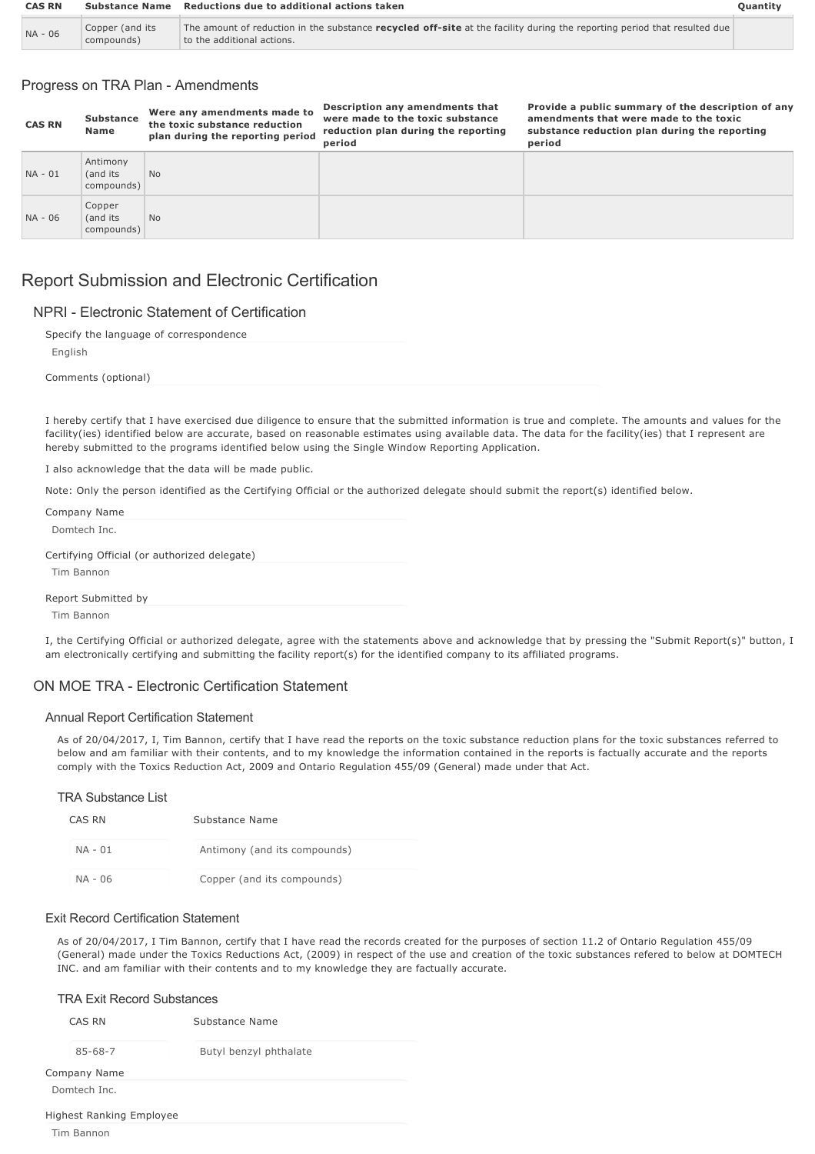| <b>CAS RN</b> | <b>Substance Name</b>         | <b>Reductions due to additional actions taken</b>                                                                                                      |  |
|---------------|-------------------------------|--------------------------------------------------------------------------------------------------------------------------------------------------------|--|
| NA - 06       | Copper (and its<br>compounds) | The amount of reduction in the substance recycled off-site at the facility during the reporting period that resulted due<br>to the additional actions. |  |

## Progress on TRA Plan - Amendments

| <b>CAS RN</b> | <b>Substance</b><br>Name           | Were any amendments made to<br>the toxic substance reduction<br>plan during the reporting period | s countrion any amenaments that<br>were made to the toxic substance<br>reduction plan during the reporting<br>period | amendments that were made to the toxic<br>substance reduction plan during the reporting<br>period |
|---------------|------------------------------------|--------------------------------------------------------------------------------------------------|----------------------------------------------------------------------------------------------------------------------|---------------------------------------------------------------------------------------------------|
| NA - 01       | Antimony<br>(and its<br>compounds) | <b>No</b>                                                                                        |                                                                                                                      |                                                                                                   |
| NA - 06       | Copper<br>(and its<br>compounds)   | <b>No</b>                                                                                        |                                                                                                                      |                                                                                                   |

**Description any amendments that**

**Provide a public summary of the description of any**

# Report Submission and Electronic Certification

#### NPRI - Flectronic Statement of Certification

| Specify the language of correspondence |  |
|----------------------------------------|--|
| English                                |  |
| Comments (optional)                    |  |
|                                        |  |

I hereby certify that I have exercised due diligence to ensure that the submitted information is true and complete. The amounts and values for the facility(ies) identified below are accurate, based on reasonable estimates using available data. The data for the facility(ies) that I represent are hereby submitted to the programs identified below using the Single Window Reporting Application.

I also acknowledge that the data will be made public.

Note: Only the person identified as the Certifying Official or the authorized delegate should submit the report(s) identified below.

| Company Name                                 |
|----------------------------------------------|
| Domtech Inc.                                 |
| Certifying Official (or authorized delegate) |
| Tim Bannon                                   |
| Report Submitted by                          |
| Tim Bannon                                   |

I, the Certifying Official or authorized delegate, agree with the statements above and acknowledge that by pressing the "Submit Report(s)" button, I am electronically certifying and submitting the facility report(s) for the identified company to its affiliated programs.

#### ON MOF TRA - Flectronic Certification Statement

#### Annual Report Certification Statement

As of 20/04/2017, I, Tim Bannon, certify that I have read the reports on the toxic substance reduction plans for the toxic substances referred to below and am familiar with their contents, and to my knowledge the information contained in the reports is factually accurate and the reports comply with the Toxics Reduction Act, 2009 and Ontario Regulation 455/09 (General) made under that Act.

#### TRA Substance List

| CAS RN  | Substance Name               |
|---------|------------------------------|
| NA - 01 | Antimony (and its compounds) |
| NA - 06 | Copper (and its compounds)   |

#### Exit Record Certification Statement

As of 20/04/2017, I Tim Bannon, certify that I have read the records created for the purposes of section 11.2 of Ontario Regulation 455/09 (General) made under the Toxics Reductions Act, (2009) in respect of the use and creation of the toxic substances refered to below at DOMTECH INC. and am familiar with their contents and to my knowledge they are factually accurate.

| <b>TRA Exit Record Substances</b> |                        |  |  |
|-----------------------------------|------------------------|--|--|
| CAS RN<br>Substance Name          |                        |  |  |
| $85 - 68 - 7$                     | Butyl benzyl phthalate |  |  |
| Company Name                      |                        |  |  |
| Domtech Inc.                      |                        |  |  |
| Highest Ranking Employee          |                        |  |  |
| Tim Bannon                        |                        |  |  |